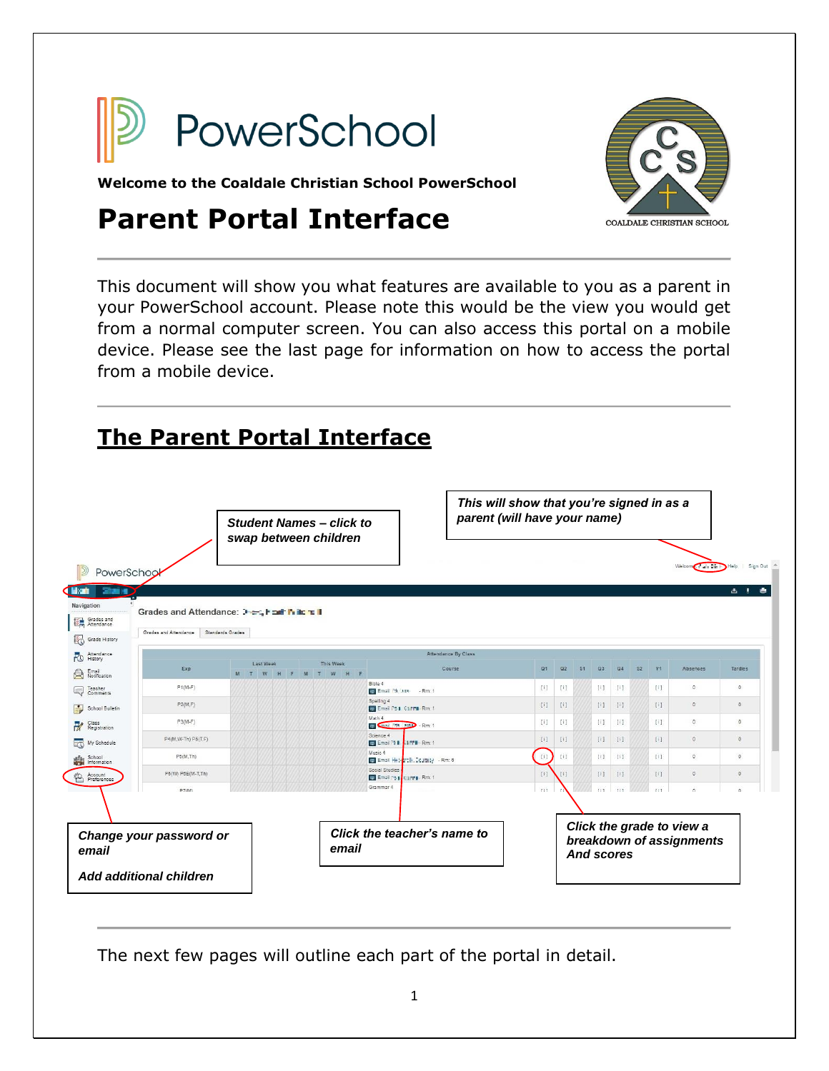

COALDALE CHRISTIAN SCHOOL

**Welcome to the Coaldale Christian School PowerSchool** 

# **Parent Portal Interface**

This document will show you what features are available to you as a parent in your PowerSchool account. Please note this would be the view you would get from a normal computer screen. You can also access this portal on a mobile device. Please see the last page for information on how to access the portal from a mobile device.

## **The Parent Portal Interface**

|                                                         |                                                                       |                  | <b>Student Names - click to</b><br>swap between children |   |                                   |                              |                                                | This will show that you're signed in as a<br>parent (will have your name) |                                                                                                                                                                                                                                                                                                                                                                                                                                              |                                                                                                                                                                                                                                                                         |           |                                                                                                                                                               |                                                                                                                                                                                                                                                                                                                                                                                                                                              |                                                       |                      |                 |            |
|---------------------------------------------------------|-----------------------------------------------------------------------|------------------|----------------------------------------------------------|---|-----------------------------------|------------------------------|------------------------------------------------|---------------------------------------------------------------------------|----------------------------------------------------------------------------------------------------------------------------------------------------------------------------------------------------------------------------------------------------------------------------------------------------------------------------------------------------------------------------------------------------------------------------------------------|-------------------------------------------------------------------------------------------------------------------------------------------------------------------------------------------------------------------------------------------------------------------------|-----------|---------------------------------------------------------------------------------------------------------------------------------------------------------------|----------------------------------------------------------------------------------------------------------------------------------------------------------------------------------------------------------------------------------------------------------------------------------------------------------------------------------------------------------------------------------------------------------------------------------------------|-------------------------------------------------------|----------------------|-----------------|------------|
| PowerSchoo                                              |                                                                       |                  |                                                          |   |                                   |                              |                                                |                                                                           |                                                                                                                                                                                                                                                                                                                                                                                                                                              |                                                                                                                                                                                                                                                                         |           |                                                                                                                                                               |                                                                                                                                                                                                                                                                                                                                                                                                                                              |                                                       | Welcom Citalis Dir F | Help   Sign Out |            |
| <b>ALC 19</b><br>Navigation<br>Grades and<br>Attendance | Grades and Attendance: Just, health in the T<br>Grades and Attendance | Standards Grades |                                                          |   |                                   |                              |                                                |                                                                           |                                                                                                                                                                                                                                                                                                                                                                                                                                              |                                                                                                                                                                                                                                                                         |           |                                                                                                                                                               |                                                                                                                                                                                                                                                                                                                                                                                                                                              |                                                       |                      |                 | 古土         |
| Grade History<br>Attendance                             |                                                                       |                  |                                                          |   |                                   |                              |                                                | Attendance By Class                                                       |                                                                                                                                                                                                                                                                                                                                                                                                                                              |                                                                                                                                                                                                                                                                         |           |                                                                                                                                                               |                                                                                                                                                                                                                                                                                                                                                                                                                                              |                                                       |                      |                 |            |
| Attenda<br>Email<br>Notification                        | Exp                                                                   | M                | Last Week<br>ïΤ<br>W                                     | M | <b>This Week</b><br>т<br>W<br>्रम |                              |                                                | Course                                                                    | Q1                                                                                                                                                                                                                                                                                                                                                                                                                                           | Q <sub>2</sub>                                                                                                                                                                                                                                                          | <b>S1</b> | Q3                                                                                                                                                            | $Q_4$                                                                                                                                                                                                                                                                                                                                                                                                                                        | S <sub>2</sub>                                        | Y1                   | Absences        | Tardies    |
| Teacher<br>Comments<br>Q                                | $P1(M-F)$                                                             |                  |                                                          |   |                                   | Bible 4<br>C Email I'M (AIM) | $-Rm:1$                                        |                                                                           | $[1] \centering% \includegraphics[width=1.0\textwidth]{Figures/PN1.png} \caption{The 3D (black) model for the $N=1$ and $N=1$ (red) and $N=1$ (red) and $N=1$ (red) and $N=1$ (red) and $N=1$ (red) and $N=1$ (red) and $N=1$ (red) and $N=1$ (red) and $N=1$ (red) and $N=1$ (red) and $N=1$ (red) and $N=1$ (red) and $N=1$ (red) and $N=1$ (red) and $N=1$ (red) and $N=1$ (red) and $N=1$ (red) and $N=1$ (red) and $N=1$ (red) and $N=$ | $[1] \centering% \includegraphics[width=1\textwidth]{Figures/PQ11.png} \caption{The 3D (black) model for the $2D$-error of the data set. The left is the same time, the right is the same time. The right is the same time, the right is the same time.} \label{fig:1}$ |           |                                                                                                                                                               | $[1] \centering% \includegraphics[width=1.8\textwidth]{Figures/PN1.png} \caption{The 3D (black) model for the $N=1$ and $N=1$ (red) and $N=1$ (red) and $N=1$ (red) and $N=1$ (red) and $N=1$ (red) and $N=1$ (red) and $N=1$ (red) and $N=1$ (red) and $N=1$ (red) and $N=1$ (red) and $N=1$ (red) and $N=1$ (red) and $N=1$ (red) and $N=1$ (red) and $N=1$ (red) and $N=1$ (red) and $N=1$ (red) and $N=1$ (red) and $N=1$ (red) and $N=$ |                                                       | $[1]$                | $\mathbb{O}$    | $^{\circ}$ |
| School Bulletin                                         | P2(M,F)                                                               |                  |                                                          |   |                                   | Spelling 4                   | <b>B</b> Email PS & Carry Rm: 1                |                                                                           | $[1]$                                                                                                                                                                                                                                                                                                                                                                                                                                        | 旧                                                                                                                                                                                                                                                                       |           | [1]                                                                                                                                                           | 中                                                                                                                                                                                                                                                                                                                                                                                                                                            |                                                       | $[1]$                | 0               | 0          |
| Class<br>Registration                                   | $P3(M-F)$                                                             |                  |                                                          |   |                                   | Math 4                       | <b>B</b> Chail Frit Lamp - Rm: 1               |                                                                           | $[1]$                                                                                                                                                                                                                                                                                                                                                                                                                                        | $[1] \centering% \includegraphics[width=1\textwidth]{Figures/PQ11.png} \caption{The 3D (blue) and 4D (blue) are shown in Fig.~\ref{fig:10}. } \label{fig:10}$                                                                                                           |           | $[1] \centering% \includegraphics[width=1\textwidth]{Figures/PQ11.png} \caption{The 3D (blue) and 4D (blue) are shown in Fig.~\ref{fig:10}. } \label{fig:10}$ | $[1]$                                                                                                                                                                                                                                                                                                                                                                                                                                        |                                                       | $[1]$                | $\theta$        | $\circ$    |
| My Schedule                                             | P4(M, W-Th) P5(T,F)                                                   |                  |                                                          |   |                                   | Science 4                    | <b>B</b> Email 31   LFFB - Rm: 1               |                                                                           | [1]                                                                                                                                                                                                                                                                                                                                                                                                                                          | [1]                                                                                                                                                                                                                                                                     |           | [1]                                                                                                                                                           | [1]                                                                                                                                                                                                                                                                                                                                                                                                                                          |                                                       | [1]                  | $\theta$        | $\circ$    |
| School<br>Information                                   | P5(M,Th)                                                              |                  |                                                          |   |                                   | Music 4                      | Email Het- <mark>et Ik. Coutesy</mark> - Rm: 6 |                                                                           | [i]                                                                                                                                                                                                                                                                                                                                                                                                                                          | [1]                                                                                                                                                                                                                                                                     |           | [1]                                                                                                                                                           | $[1]$                                                                                                                                                                                                                                                                                                                                                                                                                                        |                                                       | $[1]$                | $\theta$        | $\circ$    |
| Account<br>Preferences                                  | P5(W) P6E(M-T,Th)                                                     |                  |                                                          |   |                                   | Social Studies               | Email Ps   Carro Rm: 1                         |                                                                           | [1]                                                                                                                                                                                                                                                                                                                                                                                                                                          | [1]                                                                                                                                                                                                                                                                     |           | [1]                                                                                                                                                           | [1]                                                                                                                                                                                                                                                                                                                                                                                                                                          |                                                       | [1]                  | 0               | $\circ$    |
|                                                         | P7(14)                                                                |                  |                                                          |   |                                   | Grammar 4                    |                                                |                                                                           | Til                                                                                                                                                                                                                                                                                                                                                                                                                                          |                                                                                                                                                                                                                                                                         |           | ri t                                                                                                                                                          | Till                                                                                                                                                                                                                                                                                                                                                                                                                                         |                                                       | Ti1                  | $\mathfrak{a}$  |            |
| Change your password or<br>email<br>email               |                                                                       |                  |                                                          |   | Click the teacher's name to       |                              |                                                |                                                                           |                                                                                                                                                                                                                                                                                                                                                                                                                                              | <b>And scores</b>                                                                                                                                                                                                                                                       |           |                                                                                                                                                               |                                                                                                                                                                                                                                                                                                                                                                                                                                              | Click the grade to view a<br>breakdown of assignments |                      |                 |            |
|                                                         | Add additional children                                               |                  |                                                          |   |                                   |                              |                                                |                                                                           |                                                                                                                                                                                                                                                                                                                                                                                                                                              |                                                                                                                                                                                                                                                                         |           |                                                                                                                                                               |                                                                                                                                                                                                                                                                                                                                                                                                                                              |                                                       |                      |                 |            |

The next few pages will outline each part of the portal in detail.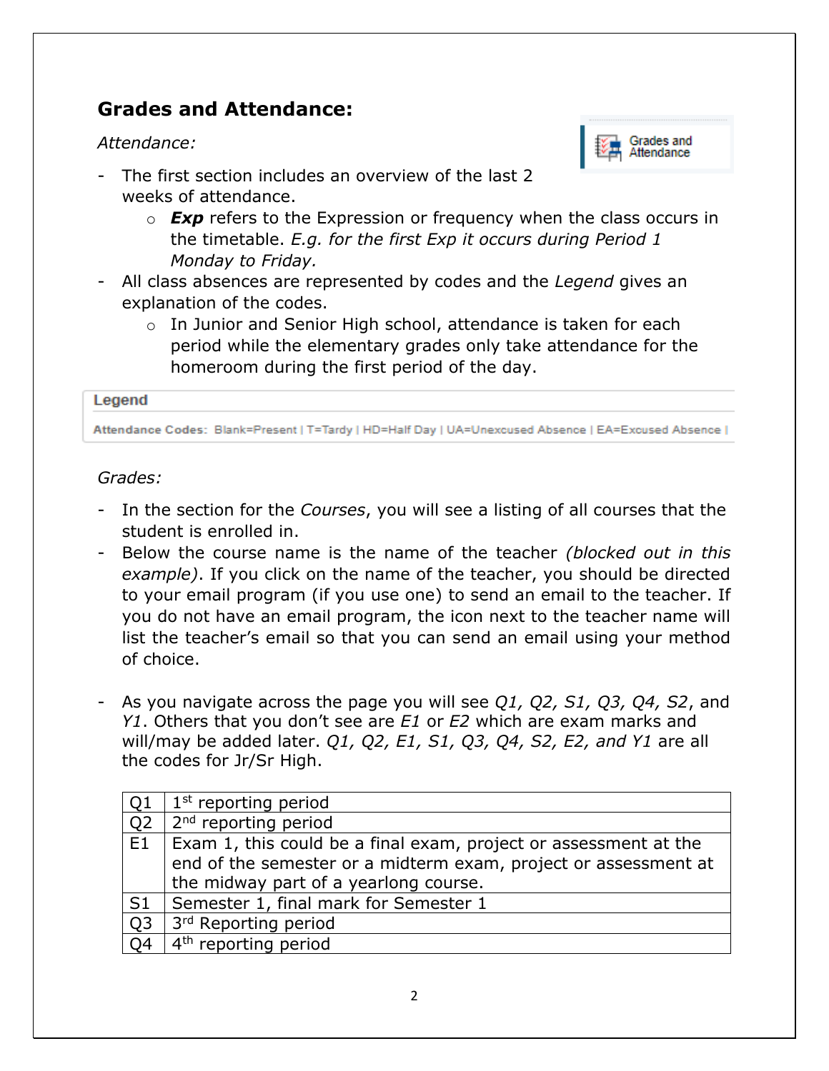## **Grades and Attendance:**

#### *Attendance:*



- The first section includes an overview of the last 2 weeks of attendance.
	- o *Exp* refers to the Expression or frequency when the class occurs in the timetable. *E.g. for the first Exp it occurs during Period 1 Monday to Friday.*
- All class absences are represented by codes and the *Legend* gives an explanation of the codes.
	- o In Junior and Senior High school, attendance is taken for each period while the elementary grades only take attendance for the homeroom during the first period of the day.

#### Legend

Attendance Codes: Blank=Present | T=Tardy | HD=Half Day | UA=Unexcused Absence | EA=Excused Absence |

#### *Grades:*

- In the section for the *Courses*, you will see a listing of all courses that the student is enrolled in.
- Below the course name is the name of the teacher *(blocked out in this example)*. If you click on the name of the teacher, you should be directed to your email program (if you use one) to send an email to the teacher. If you do not have an email program, the icon next to the teacher name will list the teacher's email so that you can send an email using your method of choice.
- As you navigate across the page you will see *Q1, Q2, S1, Q3, Q4, S2*, and *Y1*. Others that you don't see are *E1* or *E2* which are exam marks and will/may be added later. *Q1, Q2, E1, S1, Q3, Q4, S2, E2, and Y1* are all the codes for Jr/Sr High.

| Q1             | $1st$ reporting period                                                                                                              |
|----------------|-------------------------------------------------------------------------------------------------------------------------------------|
| Q <sub>2</sub> | 2 <sup>nd</sup> reporting period                                                                                                    |
| E1             | Exam 1, this could be a final exam, project or assessment at the<br>end of the semester or a midterm exam, project or assessment at |
|                |                                                                                                                                     |
|                | the midway part of a yearlong course.                                                                                               |
| . S1           | Semester 1, final mark for Semester 1                                                                                               |
| Q <sub>3</sub> | 3 <sup>rd</sup> Reporting period                                                                                                    |
| Q <sub>4</sub> | 4 <sup>th</sup> reporting period                                                                                                    |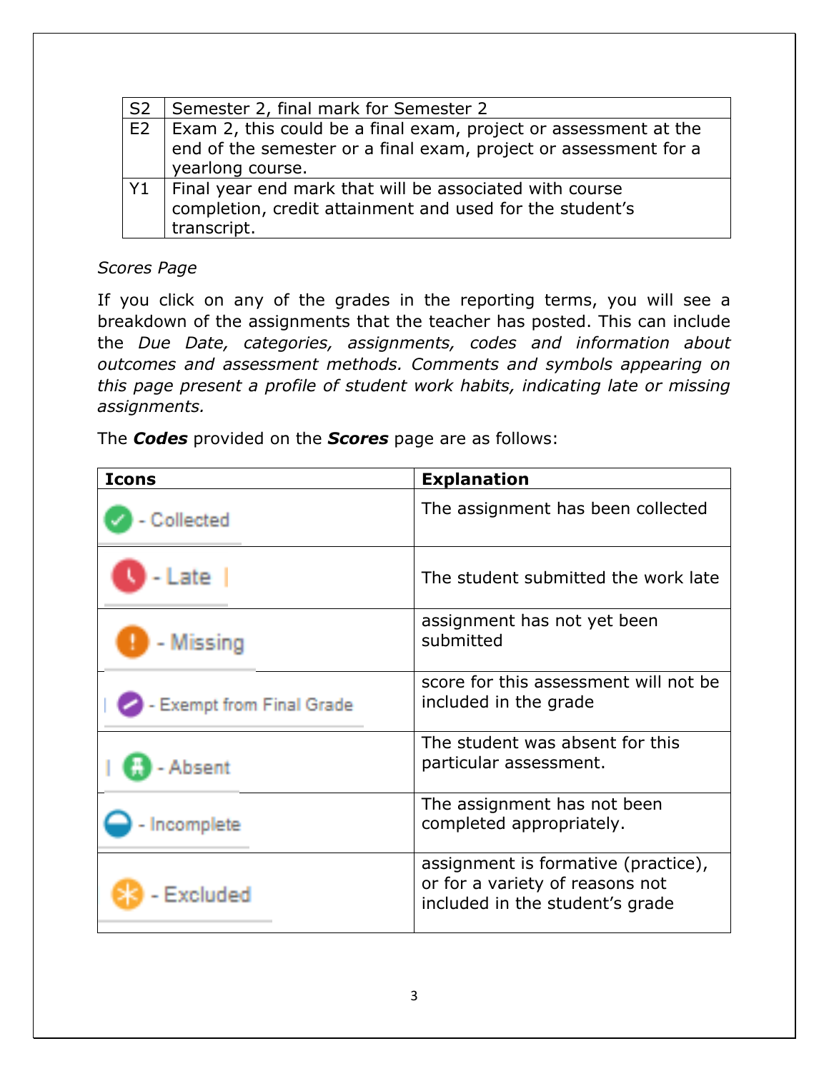| S <sub>2</sub> | Semester 2, final mark for Semester 2                                                                                                                    |
|----------------|----------------------------------------------------------------------------------------------------------------------------------------------------------|
| E <sub>2</sub> | Exam 2, this could be a final exam, project or assessment at the<br>end of the semester or a final exam, project or assessment for a<br>yearlong course. |
| Y1             | Final year end mark that will be associated with course<br>completion, credit attainment and used for the student's<br>transcript.                       |

#### *Scores Page*

If you click on any of the grades in the reporting terms, you will see a breakdown of the assignments that the teacher has posted. This can include the *Due Date, categories, assignments, codes and information about outcomes and assessment methods. Comments and symbols appearing on this page present a profile of student work habits, indicating late or missing assignments.* 

The *Codes* provided on the *Scores* page are as follows:

| <b>Icons</b>                   | <b>Explanation</b>                                                                                        |
|--------------------------------|-----------------------------------------------------------------------------------------------------------|
| Collected                      | The assignment has been collected                                                                         |
| - Late I                       | The student submitted the work late                                                                       |
| - Missing                      | assignment has not yet been<br>submitted                                                                  |
| <b>Exempt from Final Grade</b> | score for this assessment will not be<br>included in the grade                                            |
| Absent                         | The student was absent for this<br>particular assessment.                                                 |
| - Incomplete                   | The assignment has not been<br>completed appropriately.                                                   |
| Fxeluded                       | assignment is formative (practice),<br>or for a variety of reasons not<br>included in the student's grade |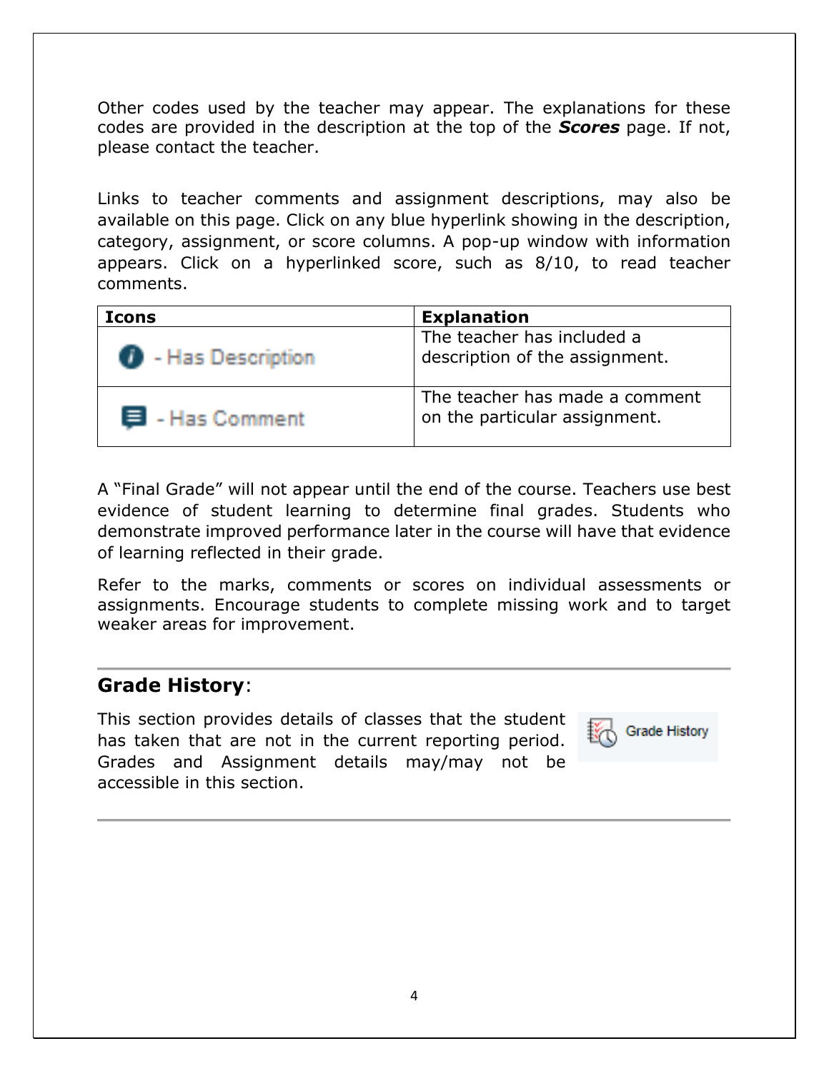Other codes used by the teacher may appear. The explanations for these codes are provided in the description at the top of the *Scores* page. If not, please contact the teacher.

Links to teacher comments and assignment descriptions, may also be available on this page. Click on any blue hyperlink showing in the description, category, assignment, or score columns. A pop-up window with information appears. Click on a hyperlinked score, such as 8/10, to read teacher comments.

| <b>Icons</b>               | <b>Explanation</b>                                              |  |  |  |  |  |
|----------------------------|-----------------------------------------------------------------|--|--|--|--|--|
| <b>B</b> - Has Description | The teacher has included a<br>description of the assignment.    |  |  |  |  |  |
| 目 - Has Comment            | The teacher has made a comment<br>on the particular assignment. |  |  |  |  |  |

A "Final Grade" will not appear until the end of the course. Teachers use best evidence of student learning to determine final grades. Students who demonstrate improved performance later in the course will have that evidence of learning reflected in their grade.

Refer to the marks, comments or scores on individual assessments or assignments. Encourage students to complete missing work and to target weaker areas for improvement.

#### **Grade History**:

This section provides details of classes that the student has taken that are not in the current reporting period. Grades and Assignment details may/may not be accessible in this section.

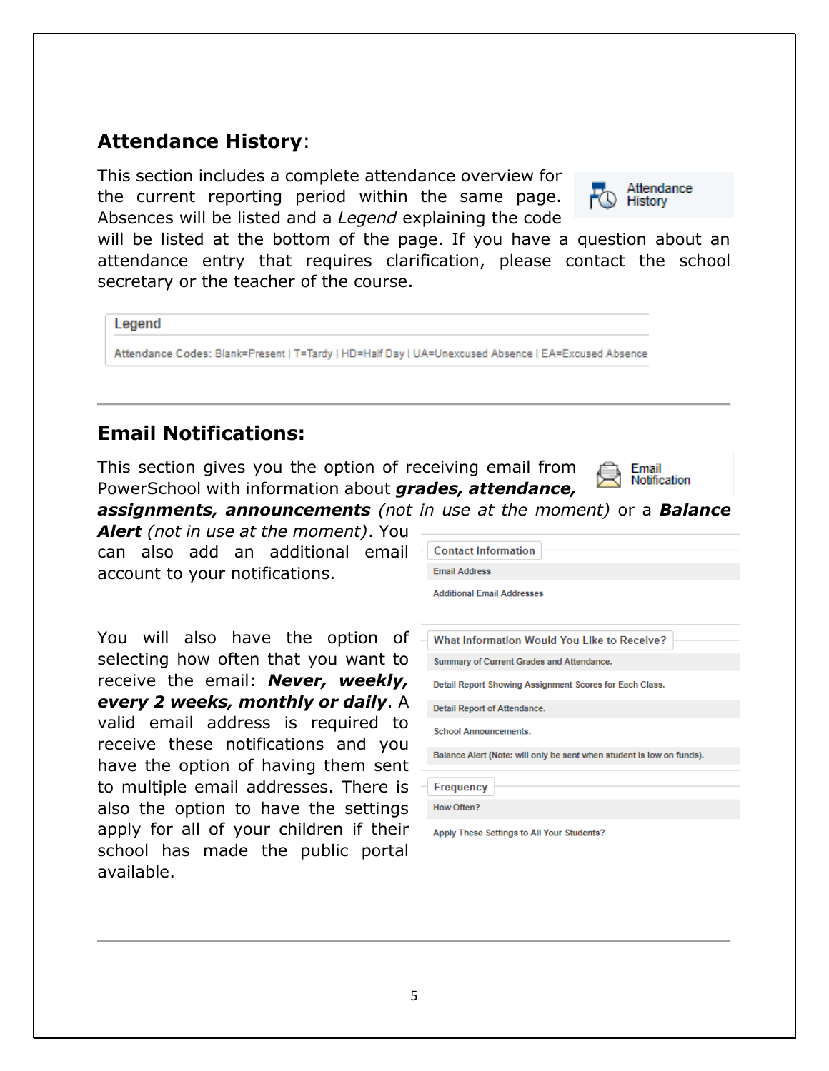### **Attendance History**:

This section includes a complete attendance overview for the current reporting period within the same page. Absences will be listed and a *Legend* explaining the code



will be listed at the bottom of the page. If you have a question about an attendance entry that requires clarification, please contact the school secretary or the teacher of the course.

Legend

Attendance Codes: Blank=Present | T=Tardy | HD=Half Day | UA=Unexcused Absence | EA=Excused Absence

#### **Email Notifications:**

This section gives you the option of receiving email from PowerSchool with information about *grades, attendance,* 



*assignments, announcements (not in use at the moment)* or a *Balance* 

*Alert (not in use at the moment)*. You can also add an additional email account to your notifications.

You will also have the option of selecting how often that you want to receive the email: *Never, weekly, every 2 weeks, monthly or daily*. A valid email address is required to receive these notifications and you have the option of having them sent to multiple email addresses. There is also the option to have the settings apply for all of your children if their school has made the public portal available.

| <b>Contact Information</b>                                            |
|-----------------------------------------------------------------------|
| <b>Email Address</b>                                                  |
| <b>Additional Email Addresses</b>                                     |
| <b>What Information Would You Like to Receive?</b>                    |
| Summary of Current Grades and Attendance.                             |
| Detail Report Showing Assignment Scores for Each Class.               |
| Detail Report of Attendance.                                          |
| <b>School Announcements.</b>                                          |
| Balance Alert (Note: will only be sent when student is low on funds). |
| Frequency                                                             |
| How Often?                                                            |
| Apply These Settings to All Your Students?                            |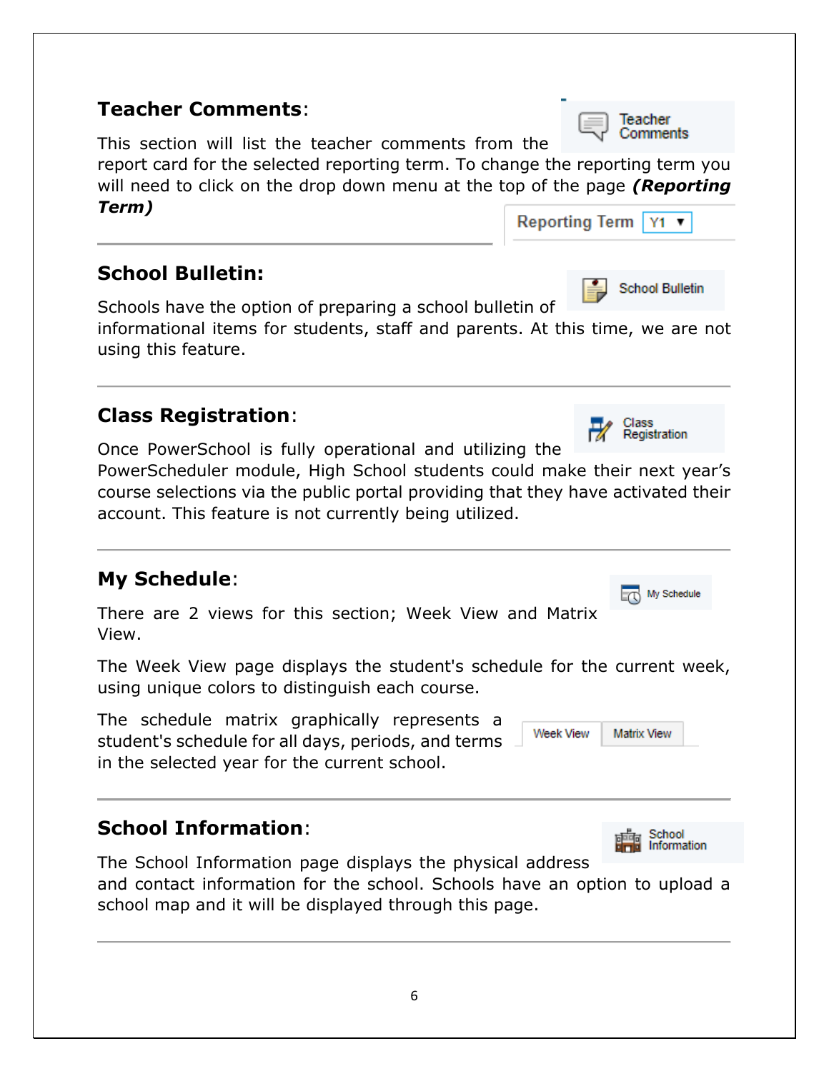## **Teacher Comments**:

This section will list the teacher comments from the

report card for the selected reporting term. To change the reporting term you will need to click on the drop down menu at the top of the page *(Reporting Term)*

## **School Bulletin:**

Schools have the option of preparing a school bulletin of

informational items for students, staff and parents. At this time, we are not using this feature.

## **Class Registration**:

Once PowerSchool is fully operational and utilizing the PowerScheduler module, High School students could make their next year's course selections via the public portal providing that they have activated their account. This feature is not currently being utilized.

## **My Schedule**:

|       |  |  | There are 2 views for this section; Week View and Matrix |  |  |
|-------|--|--|----------------------------------------------------------|--|--|
| View. |  |  |                                                          |  |  |

The Week View page displays the student's schedule for the current week, using unique colors to distinguish each course.

The schedule matrix graphically represents a student's schedule for all days, periods, and terms in the selected year for the current school.

## **School Information**:

The School Information page displays the physical address and contact information for the school. Schools have an option to upload a school map and it will be displayed through this page.



Reporting Term | Y1 ▼





Information

**Matrix View** 

Week View





**School Bulletin**